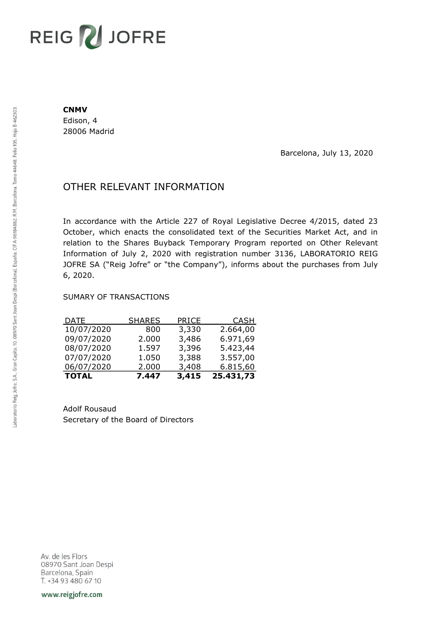# REIG V JOFRE

#### **CNMV**

Edison, 4 28006 Madrid

Barcelona, July 13, 2020

## OTHER RELEVANT INFORMATION

In accordance with the Article 227 of Royal Legislative Decree 4/2015, dated 23 October, which enacts the consolidated text of the Securities Market Act, and in relation to the Shares Buyback Temporary Program reported on Other Relevant Information of July 2, 2020 with registration number 3136, LABORATORIO REIG JOFRE SA ("Reig Jofre" or "the Company"), informs about the purchases from July 6, 2020.

### SUMARY OF TRANSACTIONS

| <b>TOTAL</b> | 7.447         | 3,415 | 25.431,73   |
|--------------|---------------|-------|-------------|
| 06/07/2020   | 2.000         | 3,408 | 6.815,60    |
| 07/07/2020   | 1.050         | 3,388 | 3.557,00    |
| 08/07/2020   | 1.597         | 3,396 | 5.423,44    |
| 09/07/2020   | 2.000         | 3,486 | 6.971,69    |
| 10/07/2020   | 800           | 3,330 | 2.664,00    |
| <b>DATE</b>  | <b>SHARES</b> | PRICE | <b>CASH</b> |

Adolf Rousaud Secretary of the Board of Directors

Av. de les Flors 08970 Sant Joan Despi Barcelona, Spain T. +34 93 480 67 10

www.reigjofre.com